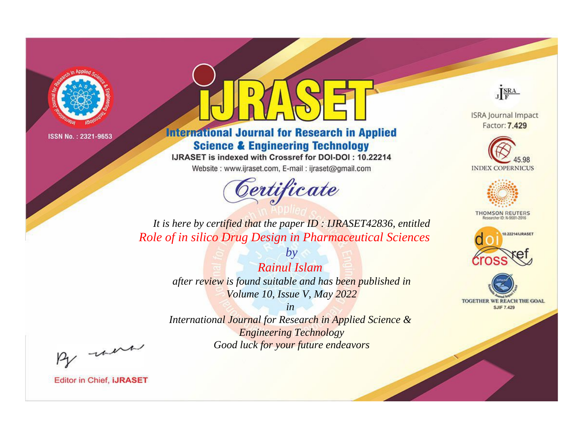

# **International Journal for Research in Applied Science & Engineering Technology**

IJRASET is indexed with Crossref for DOI-DOI: 10.22214

Website: www.ijraset.com, E-mail: ijraset@gmail.com



JERA

**ISRA Journal Impact** Factor: 7.429





**THOMSON REUTERS** 



TOGETHER WE REACH THE GOAL **SJIF 7.429** 

*It is here by certified that the paper ID : IJRASET42836, entitled Role of in silico Drug Design in Pharmaceutical Sciences*

> *by Rainul Islam after review is found suitable and has been published in Volume 10, Issue V, May 2022*

> > *in*

*International Journal for Research in Applied Science & Engineering Technology Good luck for your future endeavors*

By morn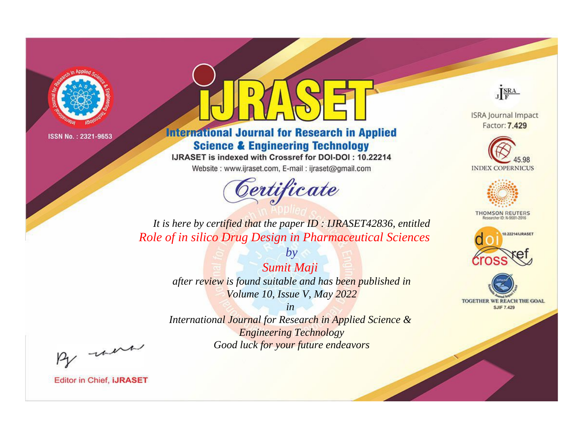

# **International Journal for Research in Applied Science & Engineering Technology**

IJRASET is indexed with Crossref for DOI-DOI: 10.22214

Website: www.ijraset.com, E-mail: ijraset@gmail.com



JERA

**ISRA Journal Impact** Factor: 7.429





**THOMSON REUTERS** 



TOGETHER WE REACH THE GOAL **SJIF 7.429** 

*It is here by certified that the paper ID : IJRASET42836, entitled Role of in silico Drug Design in Pharmaceutical Sciences*

> *by Sumit Maji after review is found suitable and has been published in Volume 10, Issue V, May 2022*

> > *in*

*International Journal for Research in Applied Science & Engineering Technology Good luck for your future endeavors*

By morn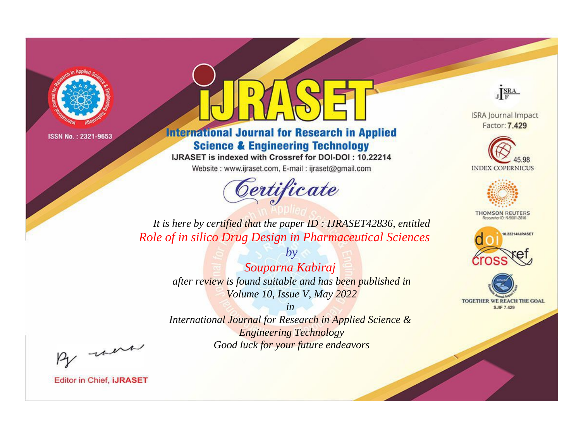

# **International Journal for Research in Applied Science & Engineering Technology**

IJRASET is indexed with Crossref for DOI-DOI: 10.22214

Website: www.ijraset.com, E-mail: ijraset@gmail.com



JERA

**ISRA Journal Impact** Factor: 7.429





**THOMSON REUTERS** 



TOGETHER WE REACH THE GOAL **SJIF 7.429** 

*It is here by certified that the paper ID : IJRASET42836, entitled Role of in silico Drug Design in Pharmaceutical Sciences*

> *Souparna Kabiraj after review is found suitable and has been published in Volume 10, Issue V, May 2022*

*by*

*in* 

*International Journal for Research in Applied Science & Engineering Technology Good luck for your future endeavors*

By morn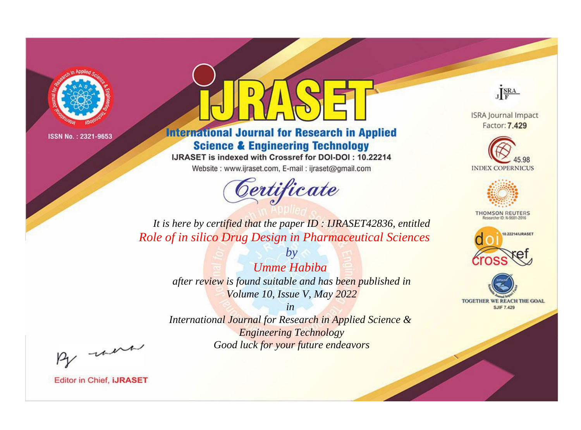

# **International Journal for Research in Applied Science & Engineering Technology**

IJRASET is indexed with Crossref for DOI-DOI: 10.22214

Website: www.ijraset.com, E-mail: ijraset@gmail.com



JERA

**ISRA Journal Impact** Factor: 7.429





**THOMSON REUTERS** 



TOGETHER WE REACH THE GOAL **SJIF 7.429** 

*It is here by certified that the paper ID : IJRASET42836, entitled Role of in silico Drug Design in Pharmaceutical Sciences*

> *by Umme Habiba after review is found suitable and has been published in Volume 10, Issue V, May 2022*

> > *in*

*International Journal for Research in Applied Science & Engineering Technology Good luck for your future endeavors*

By morn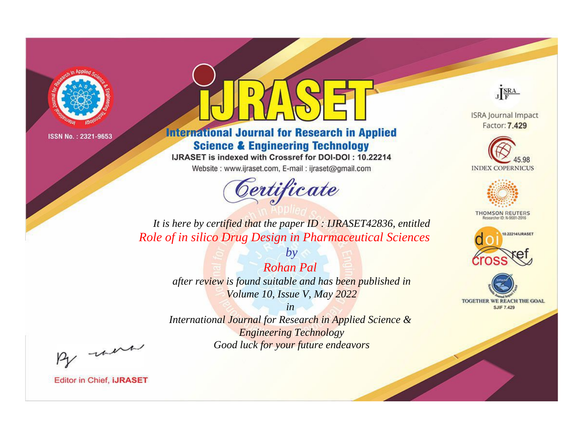

# **International Journal for Research in Applied Science & Engineering Technology**

IJRASET is indexed with Crossref for DOI-DOI: 10.22214

Website: www.ijraset.com, E-mail: ijraset@gmail.com



JERA

**ISRA Journal Impact** Factor: 7.429





**THOMSON REUTERS** 



TOGETHER WE REACH THE GOAL **SJIF 7.429** 

*It is here by certified that the paper ID : IJRASET42836, entitled Role of in silico Drug Design in Pharmaceutical Sciences*

> *by Rohan Pal after review is found suitable and has been published in Volume 10, Issue V, May 2022*

> > *in*

*International Journal for Research in Applied Science & Engineering Technology Good luck for your future endeavors*

By morn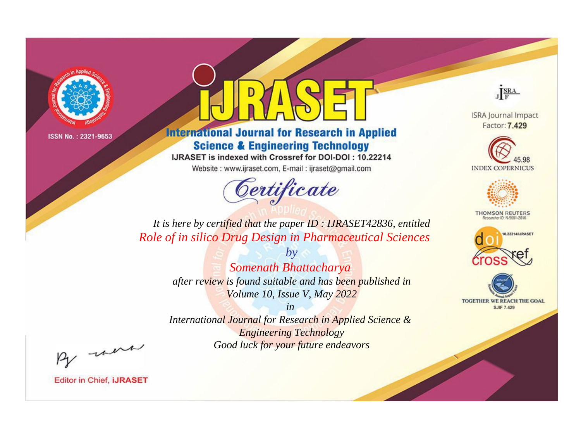

# **International Journal for Research in Applied Science & Engineering Technology**

IJRASET is indexed with Crossref for DOI-DOI: 10.22214

Website: www.ijraset.com, E-mail: ijraset@gmail.com



JERA

**ISRA Journal Impact** Factor: 7.429





**THOMSON REUTERS** 



TOGETHER WE REACH THE GOAL **SJIF 7.429** 

*It is here by certified that the paper ID : IJRASET42836, entitled Role of in silico Drug Design in Pharmaceutical Sciences*

> *by Somenath Bhattacharya after review is found suitable and has been published in Volume 10, Issue V, May 2022*

> > *in*

*International Journal for Research in Applied Science & Engineering Technology Good luck for your future endeavors*

By morn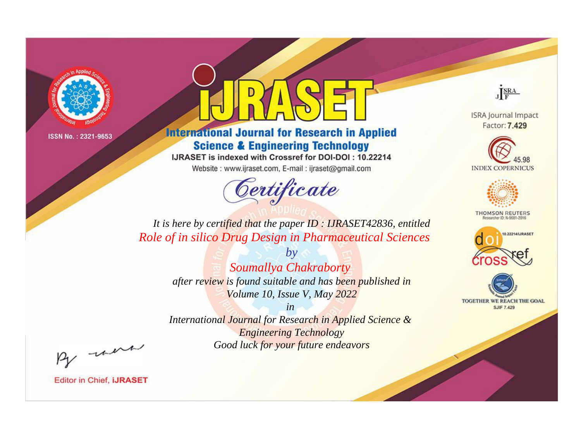

# **International Journal for Research in Applied Science & Engineering Technology**

IJRASET is indexed with Crossref for DOI-DOI: 10.22214

Website: www.ijraset.com, E-mail: ijraset@gmail.com



JERA

**ISRA Journal Impact** Factor: 7.429





**THOMSON REUTERS** 



TOGETHER WE REACH THE GOAL **SJIF 7.429** 

*It is here by certified that the paper ID : IJRASET42836, entitled Role of in silico Drug Design in Pharmaceutical Sciences*

> *by Soumallya Chakraborty after review is found suitable and has been published in Volume 10, Issue V, May 2022*

> > *in*

*International Journal for Research in Applied Science & Engineering Technology Good luck for your future endeavors*

By morn